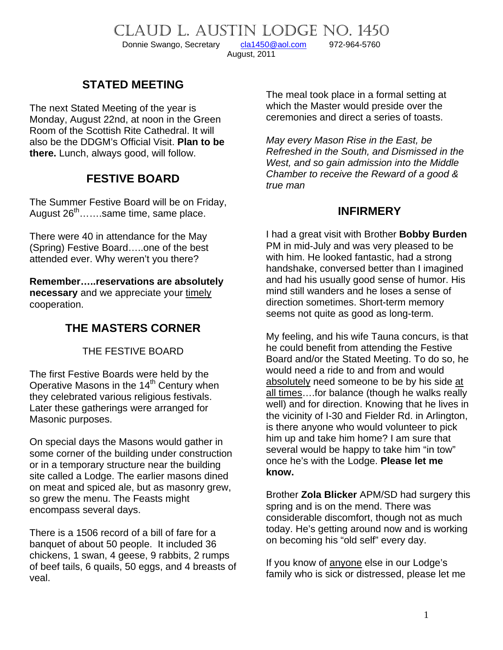CLAUD L. AUSTIN LODGE NO. 1450<br>Donnie Swango, Secretary cla1450@aol.com 972-964-5760

Donnie Swango, Secretary [cla1450@aol.com](mailto:cla1450@aol.com) 972-964-5760

August, 2011

# **STATED MEETING**

The next Stated Meeting of the year is Monday, August 22nd, at noon in the Green Room of the Scottish Rite Cathedral. It will also be the DDGM's Official Visit. **Plan to be there.** Lunch, always good, will follow.

### **FESTIVE BOARD**

The Summer Festive Board will be on Friday, August 26<sup>th</sup>…….same time, same place.

There were 40 in attendance for the May (Spring) Festive Board…..one of the best attended ever. Why weren't you there?

**Remember…..reservations are absolutely necessary** and we appreciate your timely cooperation.

# **THE MASTERS CORNER**

THE FESTIVE BOARD

The first Festive Boards were held by the Operative Masons in the 14<sup>th</sup> Century when they celebrated various religious festivals. Later these gatherings were arranged for Masonic purposes.

On special days the Masons would gather in some corner of the building under construction or in a temporary structure near the building site called a Lodge. The earlier masons dined on meat and spiced ale, but as masonry grew, so grew the menu. The Feasts might encompass several days.

There is a 1506 record of a bill of fare for a banquet of about 50 people. It included 36 chickens, 1 swan, 4 geese, 9 rabbits, 2 rumps of beef tails, 6 quails, 50 eggs, and 4 breasts of veal.

The meal took place in a formal setting at which the Master would preside over the ceremonies and direct a series of toasts.

*May every Mason Rise in the East, be Refreshed in the South, and Dismissed in the West, and so gain admission into the Middle Chamber to receive the Reward of a good & true man* 

#### **INFIRMERY**

I had a great visit with Brother **Bobby Burden** PM in mid-July and was very pleased to be with him. He looked fantastic, had a strong handshake, conversed better than I imagined and had his usually good sense of humor. His mind still wanders and he loses a sense of direction sometimes. Short-term memory seems not quite as good as long-term.

My feeling, and his wife Tauna concurs, is that he could benefit from attending the Festive Board and/or the Stated Meeting. To do so, he would need a ride to and from and would absolutely need someone to be by his side at all times….for balance (though he walks really well) and for direction. Knowing that he lives in the vicinity of I-30 and Fielder Rd. in Arlington, is there anyone who would volunteer to pick him up and take him home? I am sure that several would be happy to take him "in tow" once he's with the Lodge. **Please let me know.**

Brother **Zola Blicker** APM/SD had surgery this spring and is on the mend. There was considerable discomfort, though not as much today. He's getting around now and is working on becoming his "old self" every day.

If you know of anyone else in our Lodge's family who is sick or distressed, please let me